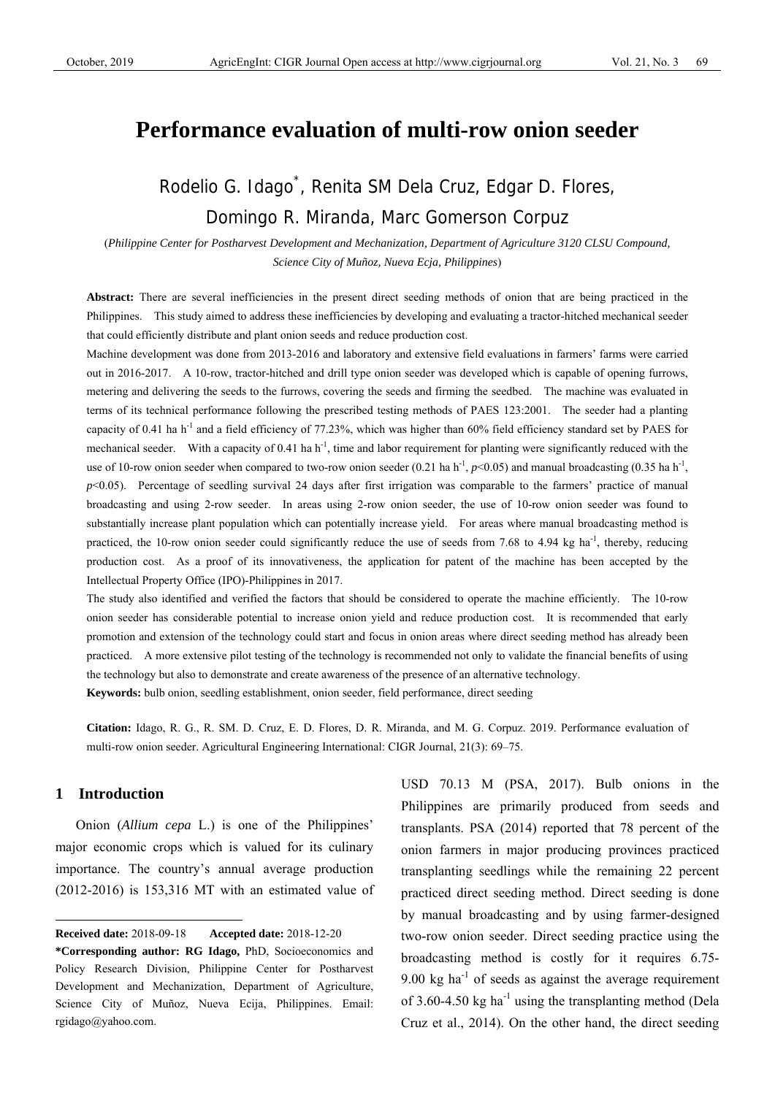# **Performance evaluation of multi-row onion seeder**

Rodelio G. Idago\* , Renita SM Dela Cruz, Edgar D. Flores, Domingo R. Miranda, Marc Gomerson Corpuz

(*Philippine Center for Postharvest Development and Mechanization, Department of Agriculture 3120 CLSU Compound, Science City of Muñoz, Nueva Ecja, Philippines*)

Abstract: There are several inefficiencies in the present direct seeding methods of onion that are being practiced in the Philippines. This study aimed to address these inefficiencies by developing and evaluating a tractor-hitched mechanical seeder that could efficiently distribute and plant onion seeds and reduce production cost.

Machine development was done from 2013-2016 and laboratory and extensive field evaluations in farmers' farms were carried out in 2016-2017. A 10-row, tractor-hitched and drill type onion seeder was developed which is capable of opening furrows, metering and delivering the seeds to the furrows, covering the seeds and firming the seedbed. The machine was evaluated in terms of its technical performance following the prescribed testing methods of PAES 123:2001. The seeder had a planting capacity of 0.41 ha  $h^{-1}$  and a field efficiency of 77.23%, which was higher than 60% field efficiency standard set by PAES for mechanical seeder. With a capacity of  $0.41$  ha  $h^{-1}$ , time and labor requirement for planting were significantly reduced with the use of 10-row onion seeder when compared to two-row onion seeder (0.21 ha h<sup>-1</sup>,  $p<0.05$ ) and manual broadcasting (0.35 ha h<sup>-1</sup>, *p*<0.05). Percentage of seedling survival 24 days after first irrigation was comparable to the farmers' practice of manual broadcasting and using 2-row seeder. In areas using 2-row onion seeder, the use of 10-row onion seeder was found to substantially increase plant population which can potentially increase yield. For areas where manual broadcasting method is practiced, the 10-row onion seeder could significantly reduce the use of seeds from 7.68 to 4.94 kg ha<sup>-1</sup>, thereby, reducing production cost. As a proof of its innovativeness, the application for patent of the machine has been accepted by the Intellectual Property Office (IPO)-Philippines in 2017.

The study also identified and verified the factors that should be considered to operate the machine efficiently. The 10-row onion seeder has considerable potential to increase onion yield and reduce production cost. It is recommended that early promotion and extension of the technology could start and focus in onion areas where direct seeding method has already been practiced. A more extensive pilot testing of the technology is recommended not only to validate the financial benefits of using the technology but also to demonstrate and create awareness of the presence of an alternative technology.

**Keywords:** bulb onion, seedling establishment, onion seeder, field performance, direct seeding

**Citation:** Idago, R. G., R. SM. D. Cruz, E. D. Flores, D. R. Miranda, and M. G. Corpuz. 2019. Performance evaluation of multi-row onion seeder. Agricultural Engineering International: CIGR Journal, 21(3): 69–75.

# **1 Introduction**

 $\overline{a}$ 

Onion (*Allium cepa* L.) is one of the Philippines' major economic crops which is valued for its culinary importance. The country's annual average production (2012-2016) is 153,316 MT with an estimated value of USD 70.13 M (PSA, 2017). Bulb onions in the Philippines are primarily produced from seeds and transplants. PSA (2014) reported that 78 percent of the onion farmers in major producing provinces practiced transplanting seedlings while the remaining 22 percent practiced direct seeding method. Direct seeding is done by manual broadcasting and by using farmer-designed two-row onion seeder. Direct seeding practice using the broadcasting method is costly for it requires 6.75- 9.00 kg ha<sup>-1</sup> of seeds as against the average requirement of 3.60-4.50 kg ha<sup>-1</sup> using the transplanting method (Dela Cruz et al., 2014). On the other hand, the direct seeding

**Received date:** 2018-09-18 **Accepted date:** 2018-12-20

**<sup>\*</sup>Corresponding author: RG Idago,** PhD, Socioeconomics and Policy Research Division, Philippine Center for Postharvest Development and Mechanization, Department of Agriculture, Science City of Muñoz, Nueva Ecija, Philippines. Email: rgidago@yahoo.com.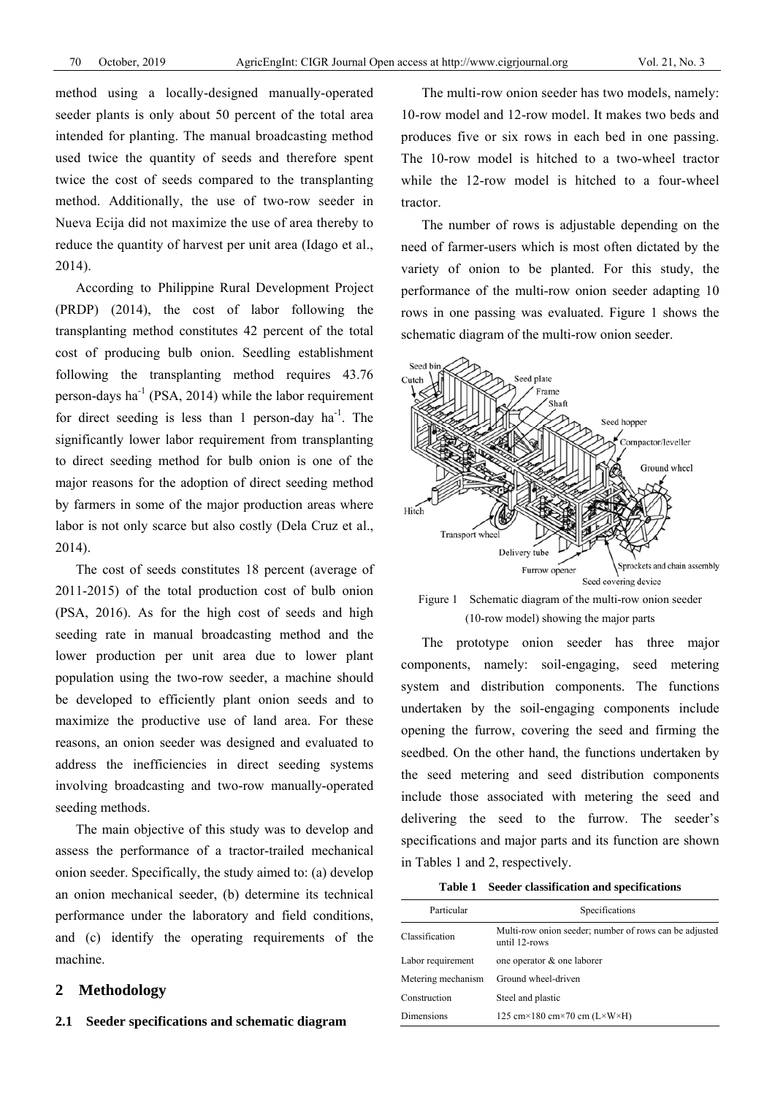method using a locally-designed manually-operated seeder plants is only about 50 percent of the total area intended for planting. The manual broadcasting method used twice the quantity of seeds and therefore spent twice the cost of seeds compared to the transplanting method. Additionally, the use of two-row seeder in Nueva Ecija did not maximize the use of area thereby to reduce the quantity of harvest per unit area (Idago et al., 2014).

According to Philippine Rural Development Project (PRDP) (2014), the cost of labor following the transplanting method constitutes 42 percent of the total cost of producing bulb onion. Seedling establishment following the transplanting method requires 43.76 person-days ha<sup>-1</sup> (PSA, 2014) while the labor requirement for direct seeding is less than 1 person-day  $ha^{-1}$ . The significantly lower labor requirement from transplanting to direct seeding method for bulb onion is one of the major reasons for the adoption of direct seeding method by farmers in some of the major production areas where labor is not only scarce but also costly (Dela Cruz et al., 2014).

The cost of seeds constitutes 18 percent (average of 2011-2015) of the total production cost of bulb onion (PSA, 2016). As for the high cost of seeds and high seeding rate in manual broadcasting method and the lower production per unit area due to lower plant population using the two-row seeder, a machine should be developed to efficiently plant onion seeds and to maximize the productive use of land area. For these reasons, an onion seeder was designed and evaluated to address the inefficiencies in direct seeding systems involving broadcasting and two-row manually-operated seeding methods.

The main objective of this study was to develop and assess the performance of a tractor-trailed mechanical onion seeder. Specifically, the study aimed to: (a) develop an onion mechanical seeder, (b) determine its technical performance under the laboratory and field conditions, and (c) identify the operating requirements of the machine.

# **2 Methodology**

The multi-row onion seeder has two models, namely: 10-row model and 12-row model. It makes two beds and produces five or six rows in each bed in one passing. The 10-row model is hitched to a two-wheel tractor while the 12-row model is hitched to a four-wheel tractor.

The number of rows is adjustable depending on the need of farmer-users which is most often dictated by the variety of onion to be planted. For this study, the performance of the multi-row onion seeder adapting 10 rows in one passing was evaluated. Figure 1 shows the schematic diagram of the multi-row onion seeder.



Figure 1 Schematic diagram of the multi-row onion seeder (10-row model) showing the major parts

The prototype onion seeder has three major components, namely: soil-engaging, seed metering system and distribution components. The functions undertaken by the soil-engaging components include opening the furrow, covering the seed and firming the seedbed. On the other hand, the functions undertaken by the seed metering and seed distribution components include those associated with metering the seed and delivering the seed to the furrow. The seeder's specifications and major parts and its function are shown in Tables 1 and 2, respectively.

**Table 1 Seeder classification and specifications** 

| Particular         | Specifications                                                          |  |  |
|--------------------|-------------------------------------------------------------------------|--|--|
| Classification     | Multi-row onion seeder; number of rows can be adjusted<br>until 12-rows |  |  |
| Labor requirement  | one operator & one laborer                                              |  |  |
| Metering mechanism | Ground wheel-driven                                                     |  |  |
| Construction       | Steel and plastic                                                       |  |  |
| Dimensions         | 125 cm×180 cm×70 cm $(L \times W \times H)$                             |  |  |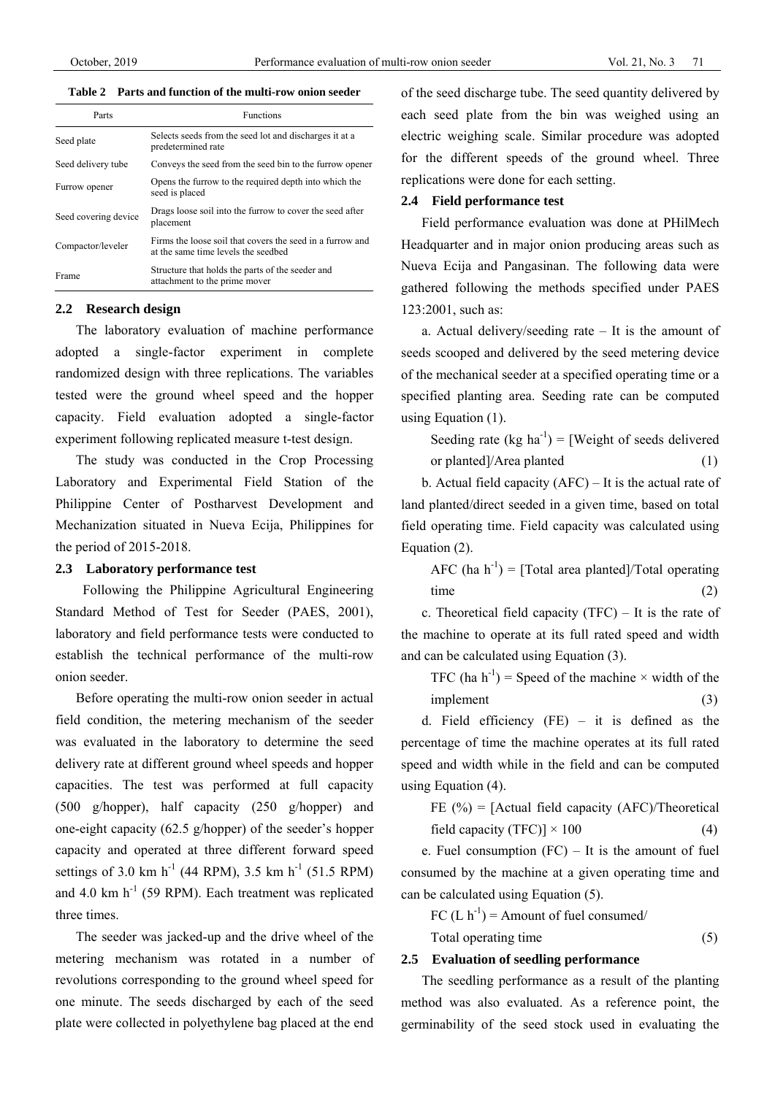# **Table 2 Parts and function of the multi-row onion seeder**

| Parts                | <b>Functions</b>                                                                                 |
|----------------------|--------------------------------------------------------------------------------------------------|
| Seed plate           | Selects seeds from the seed lot and discharges it at a<br>predetermined rate                     |
| Seed delivery tube   | Conveys the seed from the seed bin to the furrow opener                                          |
| Furrow opener        | Opens the furrow to the required depth into which the<br>seed is placed                          |
| Seed covering device | Drags loose soil into the furrow to cover the seed after<br>placement                            |
| Compactor/leveler    | Firms the loose soil that covers the seed in a furrow and<br>at the same time levels the seedbed |
| Frame                | Structure that holds the parts of the seeder and<br>attachment to the prime mover                |

# **2.2 Research design**

The laboratory evaluation of machine performance adopted a single-factor experiment in complete randomized design with three replications. The variables tested were the ground wheel speed and the hopper capacity. Field evaluation adopted a single-factor experiment following replicated measure t-test design.

The study was conducted in the Crop Processing Laboratory and Experimental Field Station of the Philippine Center of Postharvest Development and Mechanization situated in Nueva Ecija, Philippines for the period of 2015-2018.

#### **2.3 Laboratory performance test**

 Following the Philippine Agricultural Engineering Standard Method of Test for Seeder (PAES, 2001), laboratory and field performance tests were conducted to establish the technical performance of the multi-row onion seeder.

Before operating the multi-row onion seeder in actual field condition, the metering mechanism of the seeder was evaluated in the laboratory to determine the seed delivery rate at different ground wheel speeds and hopper capacities. The test was performed at full capacity (500 g/hopper), half capacity (250 g/hopper) and one-eight capacity (62.5 g/hopper) of the seeder's hopper capacity and operated at three different forward speed settings of 3.0 km h<sup>-1</sup> (44 RPM), 3.5 km h<sup>-1</sup> (51.5 RPM) and 4.0 km  $h^{-1}$  (59 RPM). Each treatment was replicated three times.

The seeder was jacked-up and the drive wheel of the metering mechanism was rotated in a number of revolutions corresponding to the ground wheel speed for one minute. The seeds discharged by each of the seed plate were collected in polyethylene bag placed at the end

of the seed discharge tube. The seed quantity delivered by each seed plate from the bin was weighed using an electric weighing scale. Similar procedure was adopted for the different speeds of the ground wheel. Three replications were done for each setting.

#### **2.4 Field performance test**

Field performance evaluation was done at PHilMech Headquarter and in major onion producing areas such as Nueva Ecija and Pangasinan. The following data were gathered following the methods specified under PAES 123:2001, such as:

a. Actual delivery/seeding rate – It is the amount of seeds scooped and delivered by the seed metering device of the mechanical seeder at a specified operating time or a specified planting area. Seeding rate can be computed using Equation (1).

Seeding rate (kg ha<sup>-1</sup>) = [Weight of seeds delivered

$$
or planted]/Area planted
$$
 (1)

b. Actual field capacity (AFC) – It is the actual rate of land planted/direct seeded in a given time, based on total field operating time. Field capacity was calculated using Equation (2).

AFC (ha  $h^{-1}$ ) = [Total area planted]/Total operating  $time$  (2)

c. Theoretical field capacity (TFC) – It is the rate of the machine to operate at its full rated speed and width and can be calculated using Equation (3).

TFC (ha  $h^{-1}$ ) = Speed of the machine  $\times$  width of the  $\text{implement}$  (3)

d. Field efficiency (FE) – it is defined as the percentage of time the machine operates at its full rated speed and width while in the field and can be computed using Equation (4).

FE (%) = [Actual field capacity (AFC)/Theoretical field capacity (TFC)] × 100 (4)

e. Fuel consumption  $(FC)$  – It is the amount of fuel consumed by the machine at a given operating time and can be calculated using Equation (5).

FC  $(L h^{-1})$  = Amount of fuel consumed/

$$
Total operating time \t(5)
$$

## **2.5 Evaluation of seedling performance**

The seedling performance as a result of the planting method was also evaluated. As a reference point, the germinability of the seed stock used in evaluating the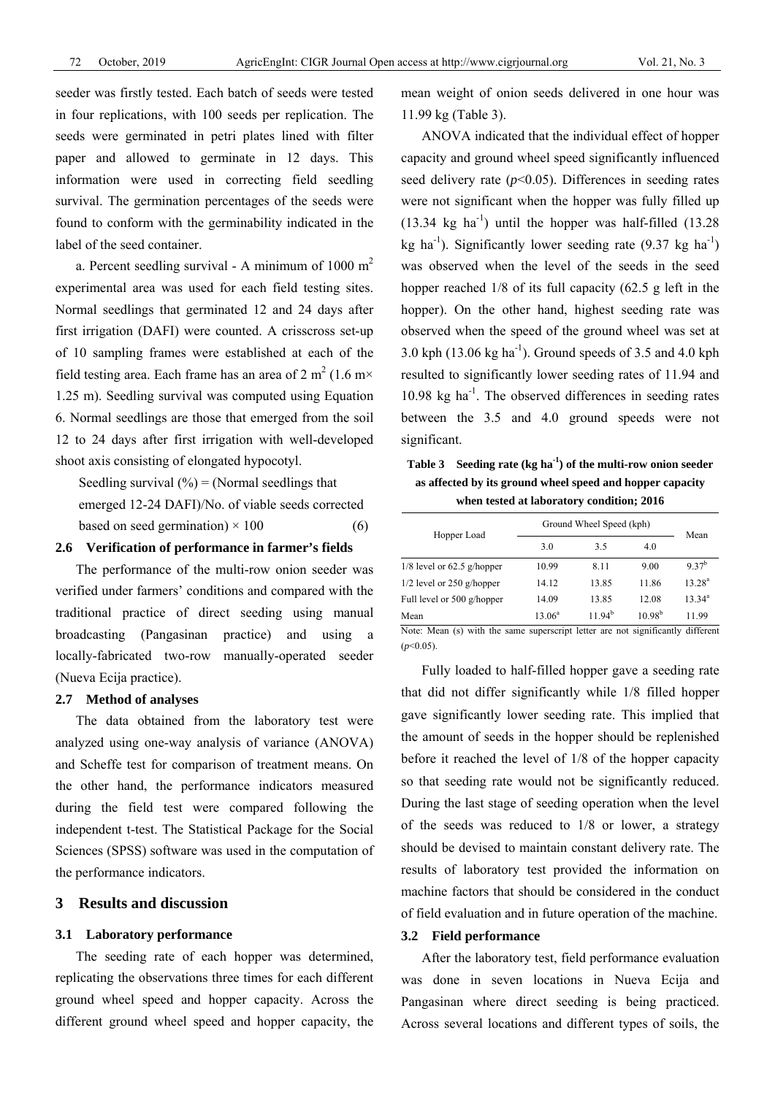seeder was firstly tested. Each batch of seeds were tested in four replications, with 100 seeds per replication. The seeds were germinated in petri plates lined with filter paper and allowed to germinate in 12 days. This information were used in correcting field seedling survival. The germination percentages of the seeds were found to conform with the germinability indicated in the label of the seed container.

a. Percent seedling survival - A minimum of  $1000 \text{ m}^2$ experimental area was used for each field testing sites. Normal seedlings that germinated 12 and 24 days after first irrigation (DAFI) were counted. A crisscross set-up of 10 sampling frames were established at each of the field testing area. Each frame has an area of 2 m<sup>2</sup> (1.6 m $\times$ 1.25 m). Seedling survival was computed using Equation 6. Normal seedlings are those that emerged from the soil 12 to 24 days after first irrigation with well-developed shoot axis consisting of elongated hypocotyl.

Seedling survival  $(\%)$  = (Normal seedlings that emerged 12-24 DAFI)/No. of viable seeds corrected based on seed germination)  $\times$  100 (6)

#### **2.6 Verification of performance in farmer's fields**

The performance of the multi-row onion seeder was verified under farmers' conditions and compared with the traditional practice of direct seeding using manual broadcasting (Pangasinan practice) and using a locally-fabricated two-row manually-operated seeder (Nueva Ecija practice).

#### **2.7 Method of analyses**

The data obtained from the laboratory test were analyzed using one-way analysis of variance (ANOVA) and Scheffe test for comparison of treatment means. On the other hand, the performance indicators measured during the field test were compared following the independent t-test. The Statistical Package for the Social Sciences (SPSS) software was used in the computation of the performance indicators.

# **3 Results and discussion**

#### **3.1 Laboratory performance**

The seeding rate of each hopper was determined, replicating the observations three times for each different ground wheel speed and hopper capacity. Across the different ground wheel speed and hopper capacity, the mean weight of onion seeds delivered in one hour was 11.99 kg (Table 3).

ANOVA indicated that the individual effect of hopper capacity and ground wheel speed significantly influenced seed delivery rate  $(p<0.05)$ . Differences in seeding rates were not significant when the hopper was fully filled up  $(13.34 \text{ kg} \text{ ha}^{-1})$  until the hopper was half-filled  $(13.28$ kg ha<sup>-1</sup>). Significantly lower seeding rate  $(9.37 \text{ kg ha}^{-1})$ was observed when the level of the seeds in the seed hopper reached 1/8 of its full capacity (62.5 g left in the hopper). On the other hand, highest seeding rate was observed when the speed of the ground wheel was set at 3.0 kph  $(13.06 \text{ kg ha}^{-1})$ . Ground speeds of 3.5 and 4.0 kph resulted to significantly lower seeding rates of 11.94 and  $10.98$  kg ha<sup>-1</sup>. The observed differences in seeding rates between the 3.5 and 4.0 ground speeds were not significant.

**Table 3 Seeding rate (kg ha-1) of the multi-row onion seeder as affected by its ground wheel speed and hopper capacity when tested at laboratory condition; 2016** 

| Hopper Load                  | Ground Wheel Speed (kph) | Mean     |             |             |  |
|------------------------------|--------------------------|----------|-------------|-------------|--|
|                              | 3.0                      | 3.5      | 4.0         |             |  |
| $1/8$ level or 62.5 g/hopper | 10.99                    | 8.11     | 9.00        | $9.37^{b}$  |  |
| $1/2$ level or 250 g/hopper  | 14.12                    | 13.85    | 11.86       | $13.28^{a}$ |  |
| Full level or 500 g/hopper   | 14.09                    | 13.85    | 12.08       | $13.34^{a}$ |  |
| Mean                         | $13.06^a$                | $1194^b$ | $10.98^{b}$ | 11.99       |  |

Note: Mean (s) with the same superscript letter are not significantly different  $(p<0.05)$ 

Fully loaded to half-filled hopper gave a seeding rate that did not differ significantly while 1/8 filled hopper gave significantly lower seeding rate. This implied that the amount of seeds in the hopper should be replenished before it reached the level of 1/8 of the hopper capacity so that seeding rate would not be significantly reduced. During the last stage of seeding operation when the level of the seeds was reduced to 1/8 or lower, a strategy should be devised to maintain constant delivery rate. The results of laboratory test provided the information on machine factors that should be considered in the conduct of field evaluation and in future operation of the machine.

# **3.2 Field performance**

After the laboratory test, field performance evaluation was done in seven locations in Nueva Ecija and Pangasinan where direct seeding is being practiced. Across several locations and different types of soils, the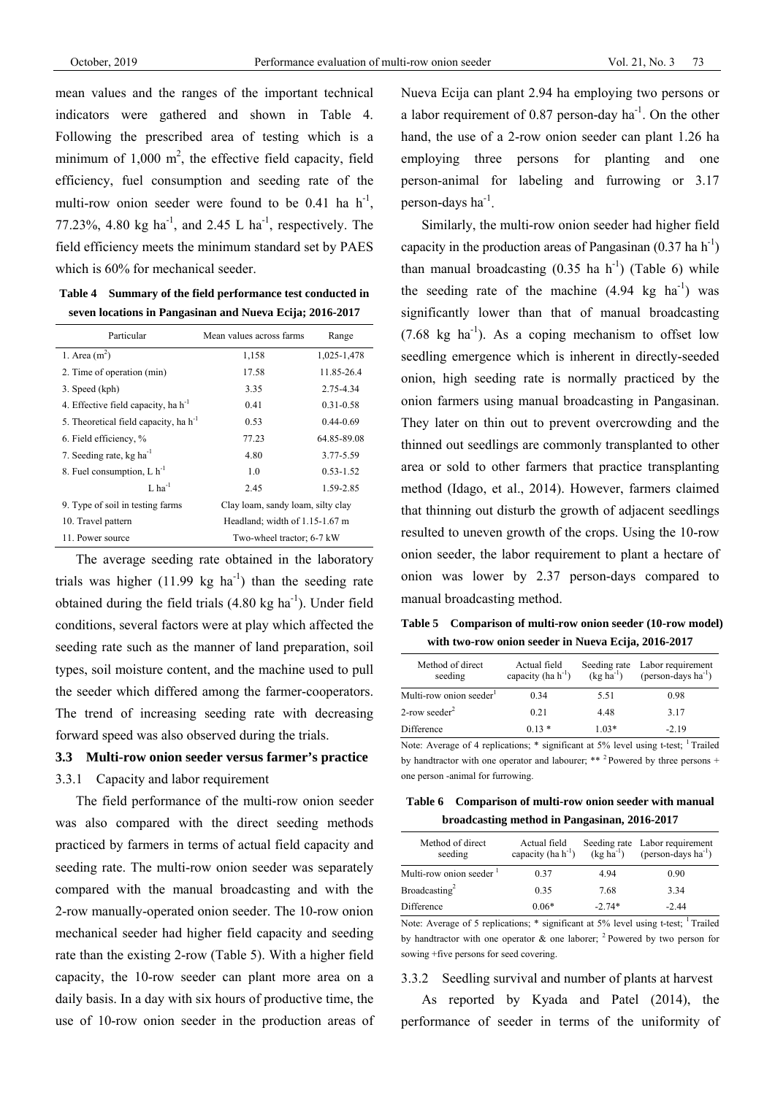mean values and the ranges of the important technical indicators were gathered and shown in Table 4. Following the prescribed area of testing which is a minimum of  $1,000 \text{ m}^2$ , the effective field capacity, field efficiency, fuel consumption and seeding rate of the multi-row onion seeder were found to be 0.41 ha  $h^{-1}$ , 77.23%, 4.80 kg ha<sup>-1</sup>, and 2.45 L ha<sup>-1</sup>, respectively. The field efficiency meets the minimum standard set by PAES which is 60% for mechanical seeder.

**Table 4 Summary of the field performance test conducted in seven locations in Pangasinan and Nueva Ecija; 2016-2017** 

| Particular                                 | Mean values across farms          | Range         |  |
|--------------------------------------------|-----------------------------------|---------------|--|
| 1. Area $(m^2)$                            | 1,158                             | 1,025-1,478   |  |
| 2. Time of operation (min)                 | 17.58                             | 11.85-26.4    |  |
| 3. Speed (kph)                             | 3.35                              | 2.75-4.34     |  |
| 4. Effective field capacity, ha $h^{-1}$   | 0.41                              | 0.31-0.58     |  |
| 5. Theoretical field capacity, ha $h^{-1}$ | 0.53                              | $0.44 - 0.69$ |  |
| 6. Field efficiency, %                     | 77.23                             | 64.85-89.08   |  |
| 7. Seeding rate, kg ha <sup>-1</sup>       | 4.80                              | 3.77-5.59     |  |
| 8. Fuel consumption, $L h^{-1}$            | 1.0                               | $0.53 - 1.52$ |  |
| $L$ ha <sup>-1</sup>                       | 2.45                              | 1.59-2.85     |  |
| 9. Type of soil in testing farms           | Clay loam, sandy loam, silty clay |               |  |
| 10. Travel pattern                         | Headland; width of 1.15-1.67 m    |               |  |
| 11. Power source                           | Two-wheel tractor; 6-7 kW         |               |  |

The average seeding rate obtained in the laboratory trials was higher  $(11.99 \text{ kg} \text{ ha}^{-1})$  than the seeding rate obtained during the field trials  $(4.80 \text{ kg ha}^{-1})$ . Under field conditions, several factors were at play which affected the seeding rate such as the manner of land preparation, soil types, soil moisture content, and the machine used to pull the seeder which differed among the farmer-cooperators. The trend of increasing seeding rate with decreasing forward speed was also observed during the trials.

# **3.3 Multi-row onion seeder versus farmer's practice**

3.3.1 Capacity and labor requirement

The field performance of the multi-row onion seeder was also compared with the direct seeding methods practiced by farmers in terms of actual field capacity and seeding rate. The multi-row onion seeder was separately compared with the manual broadcasting and with the 2-row manually-operated onion seeder. The 10-row onion mechanical seeder had higher field capacity and seeding rate than the existing 2-row (Table 5). With a higher field capacity, the 10-row seeder can plant more area on a daily basis. In a day with six hours of productive time, the use of 10-row onion seeder in the production areas of Nueva Ecija can plant 2.94 ha employing two persons or a labor requirement of  $0.87$  person-day ha<sup>-1</sup>. On the other hand, the use of a 2-row onion seeder can plant 1.26 ha employing three persons for planting and one person-animal for labeling and furrowing or 3.17 person-days  $ha^{-1}$ .

Similarly, the multi-row onion seeder had higher field capacity in the production areas of Pangasinan  $(0.37 \text{ ha h}^{-1})$ than manual broadcasting  $(0.35 \text{ ha h}^{-1})$  (Table 6) while the seeding rate of the machine  $(4.94 \text{ kg} \text{ ha}^{-1})$  was significantly lower than that of manual broadcasting  $(7.68 \text{ kg} \text{ ha}^{-1})$ . As a coping mechanism to offset low seedling emergence which is inherent in directly-seeded onion, high seeding rate is normally practiced by the onion farmers using manual broadcasting in Pangasinan. They later on thin out to prevent overcrowding and the thinned out seedlings are commonly transplanted to other area or sold to other farmers that practice transplanting method (Idago, et al., 2014). However, farmers claimed that thinning out disturb the growth of adjacent seedlings resulted to uneven growth of the crops. Using the 10-row onion seeder, the labor requirement to plant a hectare of onion was lower by 2.37 person-days compared to manual broadcasting method.

**Table 5 Comparison of multi-row onion seeder (10-row model) with two-row onion seeder in Nueva Ecija, 2016-2017** 

| Method of direct<br>seeding  | Actual field<br>capacity (ha $h^{-1}$ ) |         | Seeding rate Labor requirement<br>(kg ha <sup>-1</sup> ) (person-days ha <sup>-1</sup> ) |
|------------------------------|-----------------------------------------|---------|------------------------------------------------------------------------------------------|
| Multi-row onion seeder       | 0.34                                    | 5.51    | 0.98                                                                                     |
| $2$ -row seeder <sup>2</sup> | 0.21                                    | 4.48    | 3.17                                                                                     |
| Difference                   | $0.13*$                                 | $1.03*$ | $-2.19$                                                                                  |

Note: Average of 4 replications; \* significant at 5% level using t-test; <sup>1</sup> Trailed by handtractor with one operator and labourer; \*\* 2 Powered by three persons + one person -animal for furrowing.

**Table 6 Comparison of multi-row onion seeder with manual broadcasting method in Pangasinan, 2016-2017** 

| Method of direct<br>seeding         | Actual field<br>capacity (ha $h^{-1}$ ) | $(kg ha^{-1})$ | Seeding rate Labor requirement<br>$(person-days ha^{-1})$ |
|-------------------------------------|-----------------------------------------|----------------|-----------------------------------------------------------|
| Multi-row onion seeder <sup>1</sup> | 0.37                                    | 4 9 4          | 0.90                                                      |
| Broadcasting <sup>2</sup>           | 0.35                                    | 7.68           | 3.34                                                      |
| Difference                          | $0.06*$                                 | $-2.74*$       | $-2.44$                                                   |

Note: Average of 5 replications; \* significant at 5% level using t-test; <sup>1</sup> Trailed by handtractor with one operator  $\&$  one laborer; <sup>2</sup> Powered by two person for sowing +five persons for seed covering.

#### 3.3.2 Seedling survival and number of plants at harvest

As reported by Kyada and Patel (2014), the performance of seeder in terms of the uniformity of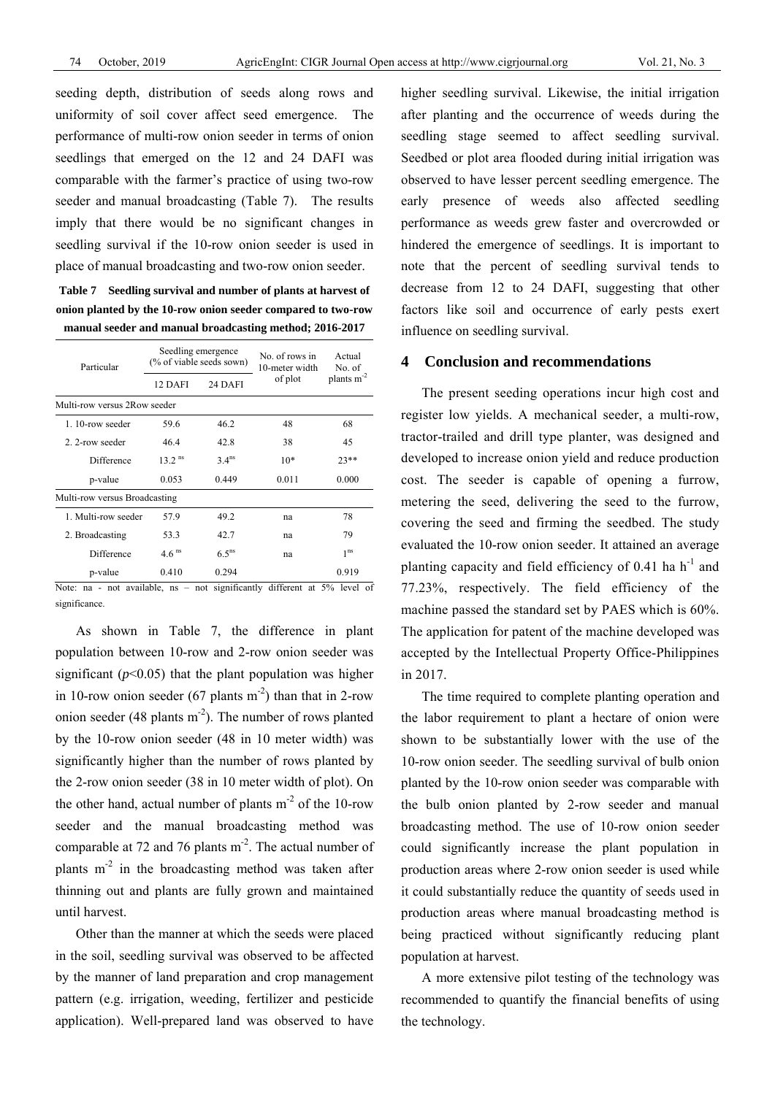seeding depth, distribution of seeds along rows and uniformity of soil cover affect seed emergence. The performance of multi-row onion seeder in terms of onion seedlings that emerged on the 12 and 24 DAFI was comparable with the farmer's practice of using two-row seeder and manual broadcasting (Table 7). The results imply that there would be no significant changes in seedling survival if the 10-row onion seeder is used in place of manual broadcasting and two-row onion seeder.

**Table 7 Seedling survival and number of plants at harvest of onion planted by the 10-row onion seeder compared to two-row manual seeder and manual broadcasting method; 2016-2017** 

| Seedling emergence<br>(% of viable seeds sown) |                                                               | No. of rows in<br>10-meter width | Actual<br>No. of                                 |
|------------------------------------------------|---------------------------------------------------------------|----------------------------------|--------------------------------------------------|
| 12 DAFI                                        | 24 DAFI                                                       | of plot                          | plants $m-2$                                     |
|                                                |                                                               |                                  |                                                  |
| 59.6                                           | 46.2                                                          | 48                               | 68                                               |
| 46.4                                           | 42.8                                                          | 38                               | 45                                               |
| $13.2$ <sup>ns</sup>                           | 3.4 <sup>ns</sup>                                             | $10*$                            | $23**$                                           |
| 0.053                                          | 0.449                                                         | 0.011                            | 0.000                                            |
|                                                |                                                               |                                  |                                                  |
| 57.9                                           | 49.2                                                          | na                               | 78                                               |
| 53.3                                           | 42.7                                                          | na                               | 79                                               |
| $4.6$ <sup>ns</sup>                            | 6.5 <sup>ns</sup>                                             | na                               | 1 <sup>ns</sup>                                  |
| 0.410                                          | 0.294                                                         |                                  | 0.919                                            |
|                                                | Multi-row versus 2Row seeder<br>Multi-row versus Broadcasting | $\cdot$ $\sim$<br>.              | 1.00<br>$\sim$ $\sim$ $\sim$ $\sim$<br>$\cdot$ . |

Note: na - not available, ns – not significantly different at 5% level of significance.

As shown in Table 7, the difference in plant population between 10-row and 2-row onion seeder was significant  $(p<0.05)$  that the plant population was higher in 10-row onion seeder (67 plants  $m<sup>-2</sup>$ ) than that in 2-row onion seeder (48 plants  $m<sup>-2</sup>$ ). The number of rows planted by the 10-row onion seeder (48 in 10 meter width) was significantly higher than the number of rows planted by the 2-row onion seeder (38 in 10 meter width of plot). On the other hand, actual number of plants  $m<sup>-2</sup>$  of the 10-row seeder and the manual broadcasting method was comparable at 72 and 76 plants  $m<sup>2</sup>$ . The actual number of plants  $m<sup>2</sup>$  in the broadcasting method was taken after thinning out and plants are fully grown and maintained until harvest.

Other than the manner at which the seeds were placed in the soil, seedling survival was observed to be affected by the manner of land preparation and crop management pattern (e.g. irrigation, weeding, fertilizer and pesticide application). Well-prepared land was observed to have

higher seedling survival. Likewise, the initial irrigation after planting and the occurrence of weeds during the seedling stage seemed to affect seedling survival. Seedbed or plot area flooded during initial irrigation was observed to have lesser percent seedling emergence. The early presence of weeds also affected seedling performance as weeds grew faster and overcrowded or hindered the emergence of seedlings. It is important to note that the percent of seedling survival tends to decrease from 12 to 24 DAFI, suggesting that other factors like soil and occurrence of early pests exert influence on seedling survival.

# **4 Conclusion and recommendations**

The present seeding operations incur high cost and register low yields. A mechanical seeder, a multi-row, tractor-trailed and drill type planter, was designed and developed to increase onion yield and reduce production cost. The seeder is capable of opening a furrow, metering the seed, delivering the seed to the furrow, covering the seed and firming the seedbed. The study evaluated the 10-row onion seeder. It attained an average planting capacity and field efficiency of  $0.41$  ha h<sup>-1</sup> and 77.23%, respectively. The field efficiency of the machine passed the standard set by PAES which is 60%. The application for patent of the machine developed was accepted by the Intellectual Property Office-Philippines in 2017.

The time required to complete planting operation and the labor requirement to plant a hectare of onion were shown to be substantially lower with the use of the 10-row onion seeder. The seedling survival of bulb onion planted by the 10-row onion seeder was comparable with the bulb onion planted by 2-row seeder and manual broadcasting method. The use of 10-row onion seeder could significantly increase the plant population in production areas where 2-row onion seeder is used while it could substantially reduce the quantity of seeds used in production areas where manual broadcasting method is being practiced without significantly reducing plant population at harvest.

A more extensive pilot testing of the technology was recommended to quantify the financial benefits of using the technology.